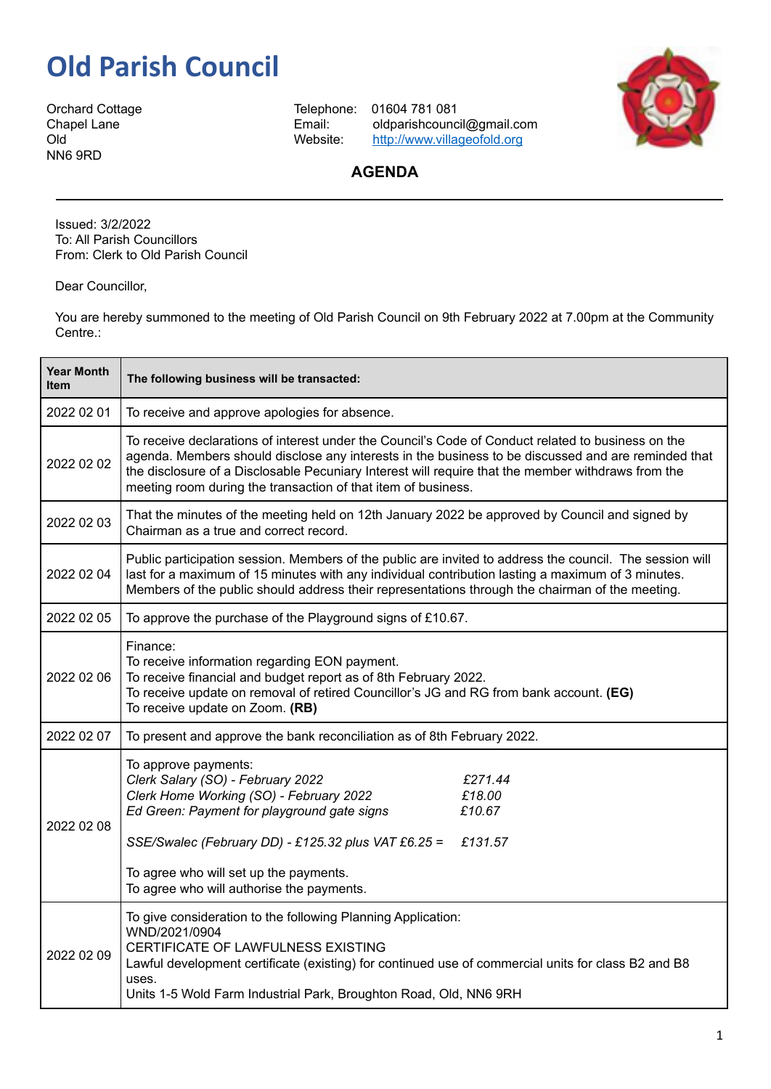## **Old Parish Council**

NN6 9RD

Orchard Cottage Telephone: 01604 781 081 Chapel Lane **Email:** oldparishcouncil@gmail.com<br>Old University Mebsite: http://www.villageofold.org <http://www.villageofold.org>



## **AGENDA**

Issued: 3/2/2022 To: All Parish Councillors From: Clerk to Old Parish Council

Dear Councillor,

You are hereby summoned to the meeting of Old Parish Council on 9th February 2022 at 7.00pm at the Community Centre.:

| <b>Year Month</b><br><b>Item</b> | The following business will be transacted:                                                                                                                                                                                                                                                                                                                                       |
|----------------------------------|----------------------------------------------------------------------------------------------------------------------------------------------------------------------------------------------------------------------------------------------------------------------------------------------------------------------------------------------------------------------------------|
| 2022 02 01                       | To receive and approve apologies for absence.                                                                                                                                                                                                                                                                                                                                    |
| 2022 02 02                       | To receive declarations of interest under the Council's Code of Conduct related to business on the<br>agenda. Members should disclose any interests in the business to be discussed and are reminded that<br>the disclosure of a Disclosable Pecuniary Interest will require that the member withdraws from the<br>meeting room during the transaction of that item of business. |
| 2022 02 03                       | That the minutes of the meeting held on 12th January 2022 be approved by Council and signed by<br>Chairman as a true and correct record.                                                                                                                                                                                                                                         |
| 2022 02 04                       | Public participation session. Members of the public are invited to address the council. The session will<br>last for a maximum of 15 minutes with any individual contribution lasting a maximum of 3 minutes.<br>Members of the public should address their representations through the chairman of the meeting.                                                                 |
| 2022 02 05                       | To approve the purchase of the Playground signs of £10.67.                                                                                                                                                                                                                                                                                                                       |
| 2022 02 06                       | Finance:<br>To receive information regarding EON payment.<br>To receive financial and budget report as of 8th February 2022.<br>To receive update on removal of retired Councillor's JG and RG from bank account. (EG)<br>To receive update on Zoom. (RB)                                                                                                                        |
| 2022 02 07                       | To present and approve the bank reconciliation as of 8th February 2022.                                                                                                                                                                                                                                                                                                          |
| 2022 02 08                       | To approve payments:<br>Clerk Salary (SO) - February 2022<br>£271.44<br>Clerk Home Working (SO) - February 2022<br>£18.00<br>Ed Green: Payment for playground gate signs<br>£10.67<br>SSE/Swalec (February DD) - £125.32 plus VAT £6.25 =<br>£131.57<br>To agree who will set up the payments.<br>To agree who will authorise the payments.                                      |
| 2022 02 09                       | To give consideration to the following Planning Application:<br>WND/2021/0904<br>CERTIFICATE OF LAWFULNESS EXISTING<br>Lawful development certificate (existing) for continued use of commercial units for class B2 and B8<br>uses.<br>Units 1-5 Wold Farm Industrial Park, Broughton Road, Old, NN6 9RH                                                                         |